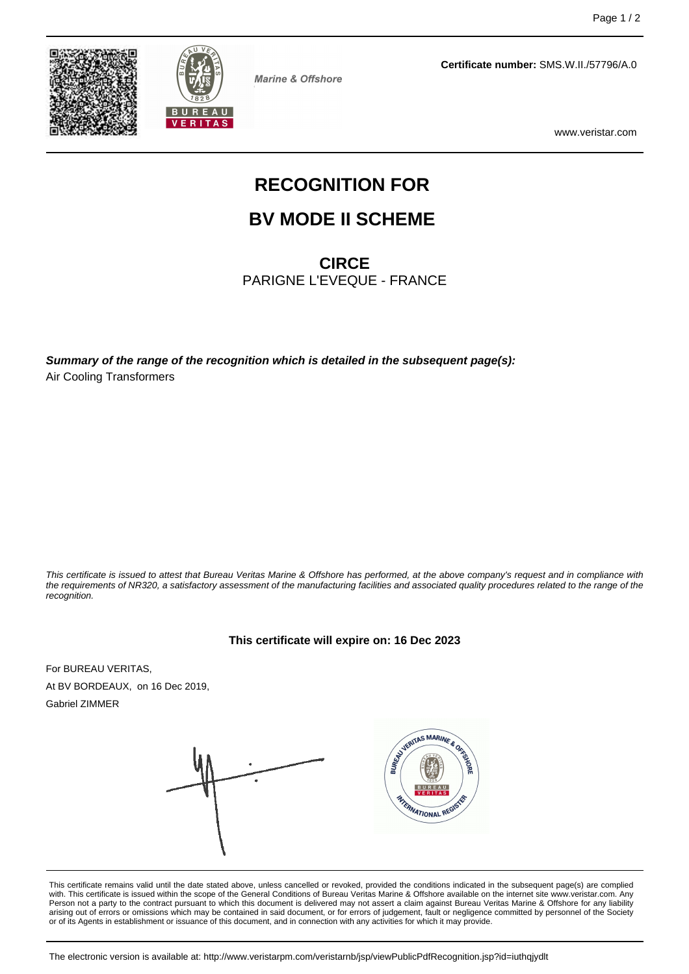



**Marine & Offshore** 

**Certificate number:** SMS.W.II./57796/A.0

www.veristar.com

# **RECOGNITION FOR**

### **BV MODE II SCHEME**

**CIRCE**

PARIGNE L'EVEQUE - FRANCE

**Summary of the range of the recognition which is detailed in the subsequent page(s):** Air Cooling Transformers

This certificate is issued to attest that Bureau Veritas Marine & Offshore has performed, at the above company's request and in compliance with the requirements of NR320, a satisfactory assessment of the manufacturing facilities and associated quality procedures related to the range of the recognition.

#### **This certificate will expire on: 16 Dec 2023**

For BUREAU VERITAS, At BV BORDEAUX, on 16 Dec 2019, Gabriel ZIMMER





This certificate remains valid until the date stated above, unless cancelled or revoked, provided the conditions indicated in the subsequent page(s) are complied<br>with. This certificate is issued within the scope of the Gen Person not a party to the contract pursuant to which this document is delivered may not assert a claim against Bureau Veritas Marine & Offshore for any liability arising out of errors or omissions which may be contained in said document, or for errors of judgement, fault or negligence committed by personnel of the Society or of its Agents in establishment or issuance of this document, and in connection with any activities for which it may provide.